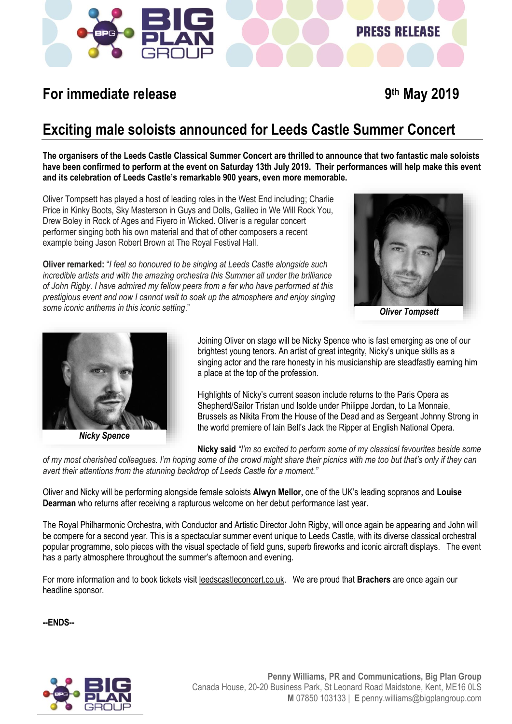

## **For immediate release**

## **th May 2019**

**PRESS RELEASE** 

### **Exciting male soloists announced for Leeds Castle Summer Concert**

**The organisers of the Leeds Castle Classical Summer Concert are thrilled to announce that two fantastic male soloists have been confirmed to perform at the event on Saturday 13th July 2019. Their performances will help make this event and its celebration of Leeds Castle's remarkable 900 years, even more memorable.** 

Oliver Tompsett has played a host of leading roles in the West End including; Charlie Price in Kinky Boots, Sky Masterson in Guys and Dolls, Galileo in We Will Rock You, Drew Boley in Rock of Ages and Fiyero in Wicked. Oliver is a regular concert performer singing both his own material and that of other composers a recent example being Jason Robert Brown at The Royal Festival Hall.

**Oliver remarked:** "*I feel so honoured to be singing at Leeds Castle alongside such incredible artists and with the amazing orchestra this Summer all under the brilliance of John Rigby. I have admired my fellow peers from a far who have performed at this prestigious event and now I cannot wait to soak up the atmosphere and enjoy singing some iconic anthems in this iconic setting*."



*Oliver Tompsett*



*Nicky Spence*

Joining Oliver on stage will be Nicky Spence who is fast emerging as one of our brightest young tenors. An artist of great integrity, Nicky's unique skills as a singing actor and the rare honesty in his musicianship are steadfastly earning him a place at the top of the profession.

Highlights of Nicky's current season include returns to the Paris Opera as Shepherd/Sailor Tristan und Isolde under Philippe Jordan, to La Monnaie, Brussels as Nikita From the House of the Dead and as Sergeant Johnny Strong in the world premiere of Iain Bell's Jack the Ripper at English National Opera.

**Nicky said** *"I'm so excited to perform some of my classical favourites beside some* 

*of my most cherished colleagues. I'm hoping some of the crowd might share their picnics with me too but that's only if they can avert their attentions from the stunning backdrop of Leeds Castle for a moment."*

Oliver and Nicky will be performing alongside female soloists **Alwyn Mellor,** one of the UK's leading sopranos and **Louise Dearman** who returns after receiving a rapturous welcome on her debut performance last year.

The Royal Philharmonic Orchestra, with Conductor and Artistic Director John Rigby, will once again be appearing and John will be compere for a second year. This is a spectacular summer event unique to Leeds Castle, with its diverse classical orchestral popular programme, solo pieces with the visual spectacle of field guns, superb fireworks and iconic aircraft displays.The event has a party atmosphere throughout the summer's afternoon and evening.

For more information and to book tickets visi[t leedscastleconcert.co.uk.](http://www.leedscastleconcert.co.uk/) We are proud that **Brachers** are once again our headline sponsor.

**--ENDS--**